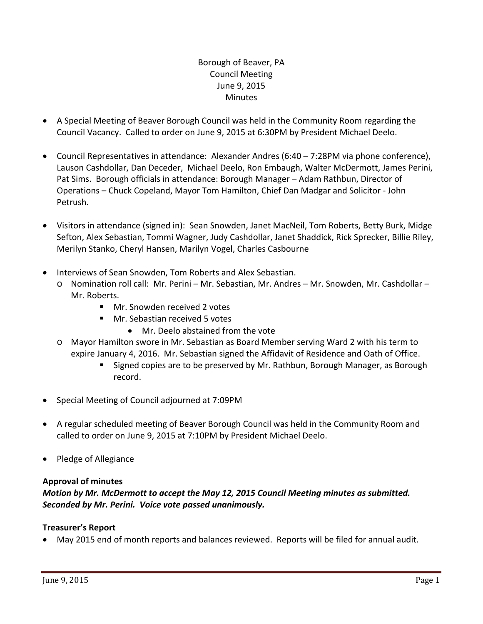# Borough of Beaver, PA Council Meeting June 9, 2015 **Minutes**

- A Special Meeting of Beaver Borough Council was held in the Community Room regarding the Council Vacancy. Called to order on June 9, 2015 at 6:30PM by President Michael Deelo.
- Council Representatives in attendance: Alexander Andres (6:40 7:28PM via phone conference), Lauson Cashdollar, Dan Deceder, Michael Deelo, Ron Embaugh, Walter McDermott, James Perini, Pat Sims. Borough officials in attendance: Borough Manager – Adam Rathbun, Director of Operations – Chuck Copeland, Mayor Tom Hamilton, Chief Dan Madgar and Solicitor ‐ John Petrush.
- Visitors in attendance (signed in): Sean Snowden, Janet MacNeil, Tom Roberts, Betty Burk, Midge Sefton, Alex Sebastian, Tommi Wagner, Judy Cashdollar, Janet Shaddick, Rick Sprecker, Billie Riley, Merilyn Stanko, Cheryl Hansen, Marilyn Vogel, Charles Casbourne
- Interviews of Sean Snowden, Tom Roberts and Alex Sebastian.
	- o Nomination roll call: Mr. Perini Mr. Sebastian, Mr. Andres Mr. Snowden, Mr. Cashdollar Mr. Roberts.
		- Mr. Snowden received 2 votes
		- **Mr. Sebastian received 5 votes** 
			- Mr. Deelo abstained from the vote
	- o Mayor Hamilton swore in Mr. Sebastian as Board Member serving Ward 2 with his term to expire January 4, 2016. Mr. Sebastian signed the Affidavit of Residence and Oath of Office.
		- Signed copies are to be preserved by Mr. Rathbun, Borough Manager, as Borough record.
- Special Meeting of Council adjourned at 7:09PM
- A regular scheduled meeting of Beaver Borough Council was held in the Community Room and called to order on June 9, 2015 at 7:10PM by President Michael Deelo.
- Pledge of Allegiance

### **Approval of minutes**

### *Motion by Mr. McDermott to accept the May 12, 2015 Council Meeting minutes as submitted. Seconded by Mr. Perini. Voice vote passed unanimously.*

### **Treasurer's Report**

May 2015 end of month reports and balances reviewed. Reports will be filed for annual audit.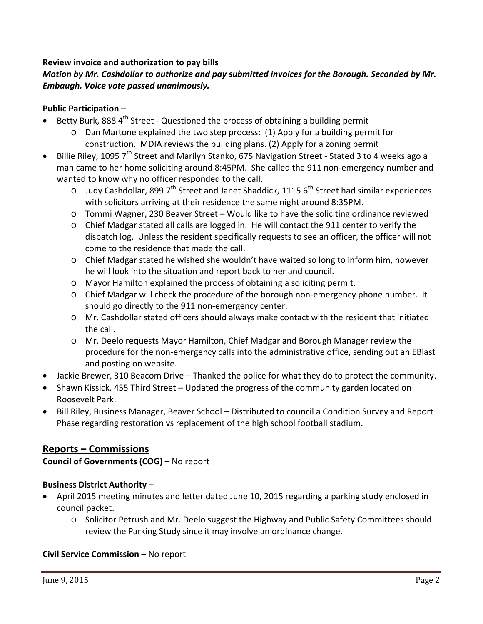### **Review invoice and authorization to pay bills**

# *Motion by Mr. Cashdollar to authorize and pay submitted invoices for the Borough. Seconded by Mr. Embaugh. Voice vote passed unanimously.*

### **Public Participation –**

- Betty Burk, 888 4<sup>th</sup> Street Questioned the process of obtaining a building permit
	- o Dan Martone explained the two step process: (1) Apply for a building permit for construction. MDIA reviews the building plans. (2) Apply for a zoning permit
- Billie Riley, 1095 7<sup>th</sup> Street and Marilyn Stanko, 675 Navigation Street Stated 3 to 4 weeks ago a man came to her home soliciting around 8:45PM. She called the 911 non-emergency number and wanted to know why no officer responded to the call.
	- o Judy Cashdollar, 899  $7<sup>th</sup>$  Street and Janet Shaddick, 1115  $6<sup>th</sup>$  Street had similar experiences with solicitors arriving at their residence the same night around 8:35PM.
	- o Tommi Wagner, 230 Beaver Street Would like to have the soliciting ordinance reviewed
	- o Chief Madgar stated all calls are logged in. He will contact the 911 center to verify the dispatch log. Unless the resident specifically requests to see an officer, the officer will not come to the residence that made the call.
	- o Chief Madgar stated he wished she wouldn't have waited so long to inform him, however he will look into the situation and report back to her and council.
	- o Mayor Hamilton explained the process of obtaining a soliciting permit.
	- o Chief Madgar will check the procedure of the borough non‐emergency phone number. It should go directly to the 911 non-emergency center.
	- o Mr. Cashdollar stated officers should always make contact with the resident that initiated the call.
	- o Mr. Deelo requests Mayor Hamilton, Chief Madgar and Borough Manager review the procedure for the non‐emergency calls into the administrative office, sending out an EBlast and posting on website.
- Jackie Brewer, 310 Beacom Drive Thanked the police for what they do to protect the community.
- Shawn Kissick, 455 Third Street Updated the progress of the community garden located on Roosevelt Park.
- Bill Riley, Business Manager, Beaver School Distributed to council a Condition Survey and Report Phase regarding restoration vs replacement of the high school football stadium.

# **Reports – Commissions**

**Council of Governments (COG) –** No report

### **Business District Authority –**

- April 2015 meeting minutes and letter dated June 10, 2015 regarding a parking study enclosed in council packet.
	- o Solicitor Petrush and Mr. Deelo suggest the Highway and Public Safety Committees should review the Parking Study since it may involve an ordinance change.

### **Civil Service Commission –** No report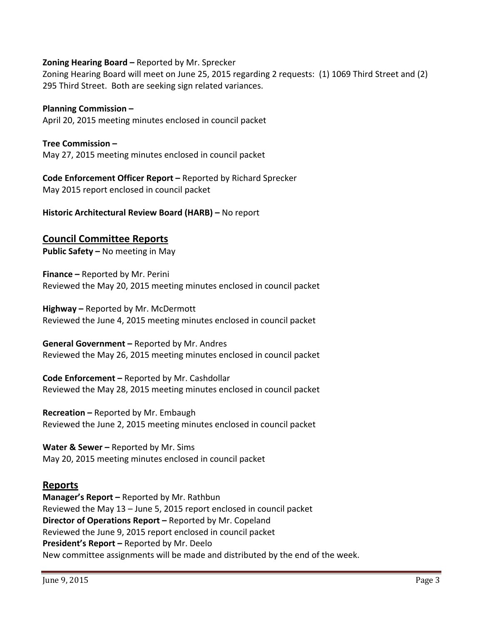#### **Zoning Hearing Board –** Reported by Mr. Sprecker

Zoning Hearing Board will meet on June 25, 2015 regarding 2 requests: (1) 1069 Third Street and (2) 295 Third Street. Both are seeking sign related variances.

#### **Planning Commission –**

April 20, 2015 meeting minutes enclosed in council packet

**Tree Commission –** May 27, 2015 meeting minutes enclosed in council packet

**Code Enforcement Officer Report –** Reported by Richard Sprecker May 2015 report enclosed in council packet

**Historic Architectural Review Board (HARB) –** No report

# **Council Committee Reports**

**Public Safety –** No meeting in May

**Finance –** Reported by Mr. Perini Reviewed the May 20, 2015 meeting minutes enclosed in council packet

**Highway –** Reported by Mr. McDermott Reviewed the June 4, 2015 meeting minutes enclosed in council packet

**General Government –** Reported by Mr. Andres Reviewed the May 26, 2015 meeting minutes enclosed in council packet

**Code Enforcement –** Reported by Mr. Cashdollar Reviewed the May 28, 2015 meeting minutes enclosed in council packet

**Recreation –** Reported by Mr. Embaugh Reviewed the June 2, 2015 meeting minutes enclosed in council packet

**Water & Sewer –** Reported by Mr. Sims May 20, 2015 meeting minutes enclosed in council packet

# **Reports**

**Manager's Report –** Reported by Mr. Rathbun Reviewed the May 13 – June 5, 2015 report enclosed in council packet **Director of Operations Report –** Reported by Mr. Copeland Reviewed the June 9, 2015 report enclosed in council packet **President's Report –** Reported by Mr. Deelo New committee assignments will be made and distributed by the end of the week.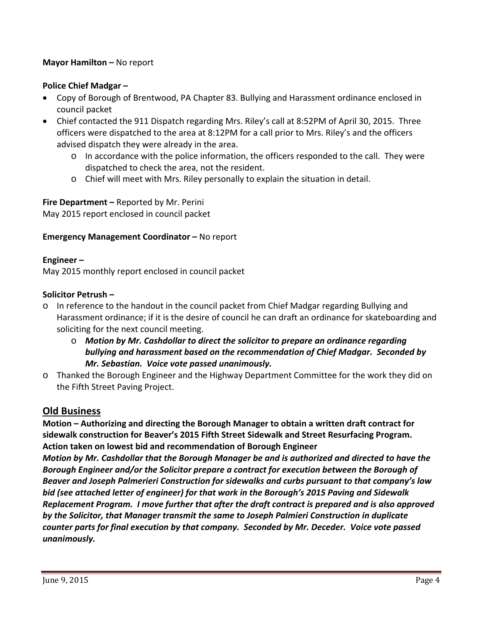## **Mayor Hamilton –** No report

### **Police Chief Madgar –**

- Copy of Borough of Brentwood, PA Chapter 83. Bullying and Harassment ordinance enclosed in council packet
- Chief contacted the 911 Dispatch regarding Mrs. Riley's call at 8:52PM of April 30, 2015. Three officers were dispatched to the area at 8:12PM for a call prior to Mrs. Riley's and the officers advised dispatch they were already in the area.
	- $\circ$  In accordance with the police information, the officers responded to the call. They were dispatched to check the area, not the resident.
	- o Chief will meet with Mrs. Riley personally to explain the situation in detail.

**Fire Department –** Reported by Mr. Perini May 2015 report enclosed in council packet

#### **Emergency Management Coordinator –** No report

#### **Engineer –**

May 2015 monthly report enclosed in council packet

#### **Solicitor Petrush –**

- o In reference to the handout in the council packet from Chief Madgar regarding Bullying and Harassment ordinance; if it is the desire of council he can draft an ordinance for skateboarding and soliciting for the next council meeting.
	- o *Motion by Mr. Cashdollar to direct the solicitor to prepare an ordinance regarding bullying and harassment based on the recommendation of Chief Madgar. Seconded by Mr. Sebastian. Voice vote passed unanimously.*
- o Thanked the Borough Engineer and the Highway Department Committee for the work they did on the Fifth Street Paving Project.

### **Old Business**

**Motion – Authorizing and directing the Borough Manager to obtain a written draft contract for sidewalk construction for Beaver's 2015 Fifth Street Sidewalk and Street Resurfacing Program. Action taken on lowest bid and recommendation of Borough Engineer**

*Motion by Mr. Cashdollar that the Borough Manager be and is authorized and directed to have the Borough Engineer and/or the Solicitor prepare a contract for execution between the Borough of Beaver and Joseph Palmerieri Construction for sidewalks and curbs pursuant to that company's low bid (see attached letter of engineer) for that work in the Borough's 2015 Paving and Sidewalk Replacement Program. I move further that after the draft contract is prepared and is also approved by the Solicitor, that Manager transmit the same to Joseph Palmieri Construction in duplicate counter parts for final execution by that company. Seconded by Mr. Deceder. Voice vote passed unanimously.*